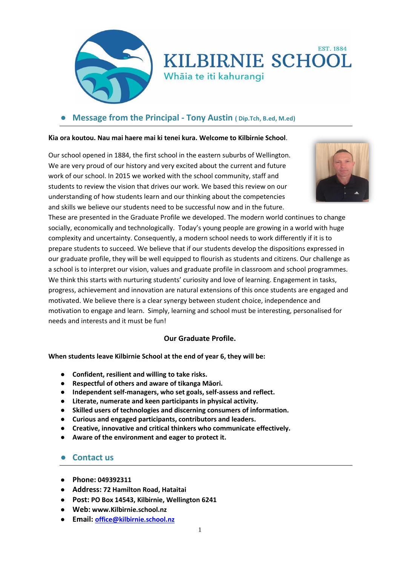

# **EST. 1884 KILBIRNIE SCHOOL** Whāia te iti kahurangi

## ● **Message from the Principal - Tony Austin ( Dip.Tch, B.ed, M.ed)**

#### **Kia ora koutou. Nau mai haere mai ki tenei kura. Welcome to Kilbirnie School**.

Our school opened in 1884, the first school in the eastern suburbs of Wellington. We are very proud of our history and very excited about the current and future work of our school. In 2015 we worked with the school community, staff and students to review the vision that drives our work. We based this review on our understanding of how students learn and our thinking about the competencies and skills we believe our students need to be successful now and in the future.



These are presented in the Graduate Profile we developed. The modern world continues to change socially, economically and technologically. Today's young people are growing in a world with huge complexity and uncertainty. Consequently, a modern school needs to work differently if it is to prepare students to succeed. We believe that if our students develop the dispositions expressed in our graduate profile, they will be well equipped to flourish as students and citizens. Our challenge as a school is to interpret our vision, values and graduate profile in classroom and school programmes. We think this starts with nurturing students' curiosity and love of learning. Engagement in tasks, progress, achievement and innovation are natural extensions of this once students are engaged and motivated. We believe there is a clear synergy between student choice, independence and motivation to engage and learn. Simply, learning and school must be interesting, personalised for needs and interests and it must be fun!

#### **Our Graduate Profile.**

**When students leave Kilbirnie School at the end of year 6, they will be:** 

- **Confident, resilient and willing to take risks.**
- **Respectful of others and aware of tikanga Māori.**
- **Independent self-managers, who set goals, self-assess and reflect.**
- **Literate, numerate and keen participants in physical activity.**
- **Skilled users of technologies and discerning consumers of information.**
- **Curious and engaged participants, contributors and leaders.**
- **Creative, innovative and critical thinkers who communicate effectively.**
- **Aware of the environment and eager to protect it.**

#### ● **Contact us**

- **Phone: 049392311**
- **Address: 72 Hamilton Road, Hataitai**
- **Post: PO Box 14543, Kilbirnie, Wellington 6241**
- **Web: www.Kilbirnie.school.nz**
- **Email: [office@kilbirnie.school.nz](mailto:office@kilbirnie.school.nz)**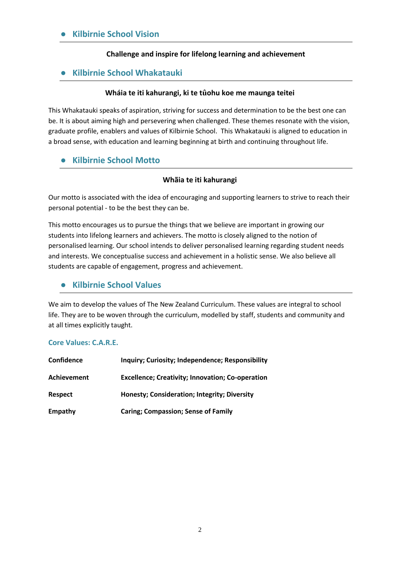#### **Kilbirnie School Vision**

#### **Challenge and inspire for lifelong learning and achievement**

#### ● **Kilbirnie School Whakatauki**

#### **Wháia te iti kahurangi, ki te tûohu koe me maunga teitei**

This Whakatauki speaks of aspiration, striving for success and determination to be the best one can be. It is about aiming high and persevering when challenged. These themes resonate with the vision, graduate profile, enablers and values of Kilbirnie School. This Whakatauki is aligned to education in a broad sense, with education and learning beginning at birth and continuing throughout life.

#### ● **Kilbirnie School Motto**

#### **Whãia te iti kahurangi**

Our motto is associated with the idea of encouraging and supporting learners to strive to reach their personal potential - to be the best they can be.

This motto encourages us to pursue the things that we believe are important in growing our students into lifelong learners and achievers. The motto is closely aligned to the notion of personalised learning. Our school intends to deliver personalised learning regarding student needs and interests. We conceptualise success and achievement in a holistic sense. We also believe all students are capable of engagement, progress and achievement.

#### ● **Kilbirnie School Values**

We aim to develop the values of The New Zealand Curriculum. These values are integral to school life. They are to be woven through the curriculum, modelled by staff, students and community and at all times explicitly taught.

#### **Core Values: C.A.R.E.**

| <b>Confidence</b>  | Inquiry; Curiosity; Independence; Responsibility        |
|--------------------|---------------------------------------------------------|
| <b>Achievement</b> | <b>Excellence; Creativity; Innovation; Co-operation</b> |
| <b>Respect</b>     | Honesty; Consideration; Integrity; Diversity            |
| Empathy            | <b>Caring; Compassion; Sense of Family</b>              |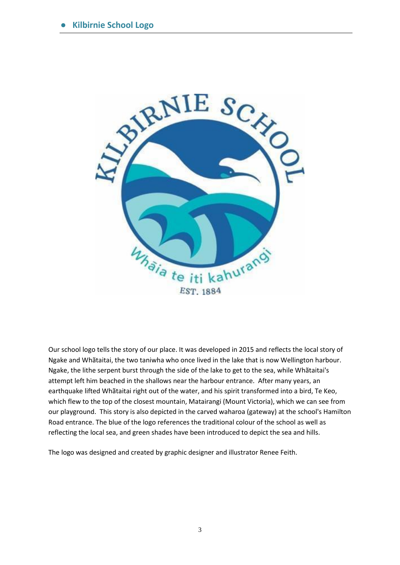

Our school logo tells the story of our place. It was developed in 2015 and reflects the local story of Ngake and Whãtaitai, the two taniwha who once lived in the lake that is now Wellington harbour. Ngake, the lithe serpent burst through the side of the lake to get to the sea, while Whãtaitai's attempt left him beached in the shallows near the harbour entrance. After many years, an earthquake lifted Whãtaitai right out of the water, and his spirit transformed into a bird, Te Keo, which flew to the top of the closest mountain, Matairangi (Mount Victoria), which we can see from our playground. This story is also depicted in the carved waharoa (gateway) at the school's Hamilton Road entrance. The blue of the logo references the traditional colour of the school as well as reflecting the local sea, and green shades have been introduced to depict the sea and hills.

The logo was designed and created by graphic designer and illustrator Renee Feith.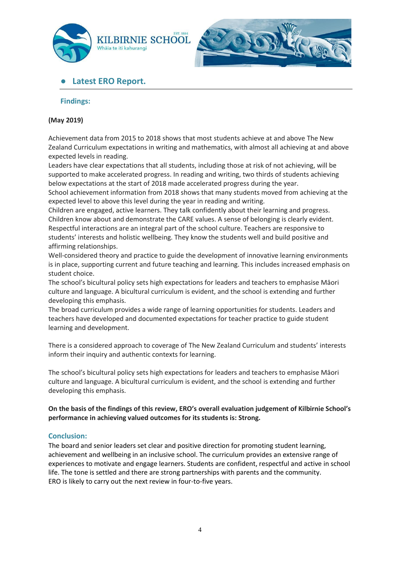



# ● **Latest ERO Report.**

#### **Findings:**

#### **(May 2019)**

Achievement data from 2015 to 2018 shows that most students achieve at and above The New Zealand Curriculum expectations in writing and mathematics, with almost all achieving at and above expected levels in reading.

Leaders have clear expectations that all students, including those at risk of not achieving, will be supported to make accelerated progress. In reading and writing, two thirds of students achieving below expectations at the start of 2018 made accelerated progress during the year.

School achievement information from 2018 shows that many students moved from achieving at the expected level to above this level during the year in reading and writing.

Children are engaged, active learners. They talk confidently about their learning and progress. Children know about and demonstrate the CARE values. A sense of belonging is clearly evident. Respectful interactions are an integral part of the school culture. Teachers are responsive to students' interests and holistic wellbeing. They know the students well and build positive and affirming relationships.

Well-considered theory and practice to guide the development of innovative learning environments is in place, supporting current and future teaching and learning. This includes increased emphasis on student choice.

The school's bicultural policy sets high expectations for leaders and teachers to emphasise Māori culture and language. A bicultural curriculum is evident, and the school is extending and further developing this emphasis.

The broad curriculum provides a wide range of learning opportunities for students. Leaders and teachers have developed and documented expectations for teacher practice to guide student learning and development.

There is a considered approach to coverage of The New Zealand Curriculum and students' interests inform their inquiry and authentic contexts for learning.

The school's bicultural policy sets high expectations for leaders and teachers to emphasise Māori culture and language. A bicultural curriculum is evident, and the school is extending and further developing this emphasis.

#### **On the basis of the findings of this review, ERO's overall evaluation judgement of Kilbirnie School's performance in achieving valued outcomes for its students is: Strong.**

#### **Conclusion:**

The board and senior leaders set clear and positive direction for promoting student learning, achievement and wellbeing in an inclusive school. The curriculum provides an extensive range of experiences to motivate and engage learners. Students are confident, respectful and active in school life. The tone is settled and there are strong partnerships with parents and the community. ERO is likely to carry out the next review in four-to-five years.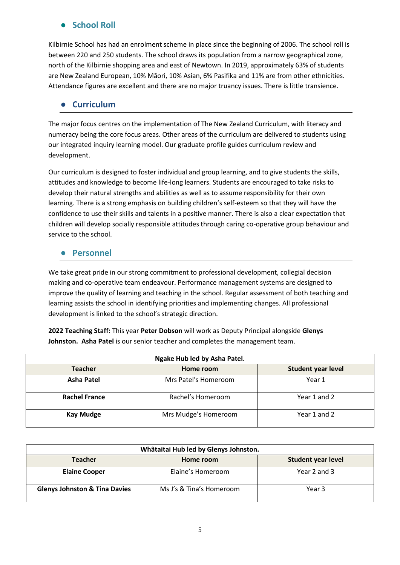## **School Roll**

Kilbirnie School has had an enrolment scheme in place since the beginning of 2006. The school roll is between 220 and 250 students. The school draws its population from a narrow geographical zone, north of the Kilbirnie shopping area and east of Newtown. In 2019, approximately 63% of students are New Zealand European, 10% Māori, 10% Asian, 6% Pasifika and 11% are from other ethnicities. Attendance figures are excellent and there are no major truancy issues. There is little transience.

## ● **Curriculum**

The major focus centres on the implementation of The New Zealand Curriculum, with literacy and numeracy being the core focus areas. Other areas of the curriculum are delivered to students using our integrated inquiry learning model. Our graduate profile guides curriculum review and development.

Our curriculum is designed to foster individual and group learning, and to give students the skills, attitudes and knowledge to become life-long learners. Students are encouraged to take risks to develop their natural strengths and abilities as well as to assume responsibility for their own learning. There is a strong emphasis on building children's self-esteem so that they will have the confidence to use their skills and talents in a positive manner. There is also a clear expectation that children will develop socially responsible attitudes through caring co-operative group behaviour and service to the school.

#### ● **Personnel**

We take great pride in our strong commitment to professional development, collegial decision making and co-operative team endeavour. Performance management systems are designed to improve the quality of learning and teaching in the school. Regular assessment of both teaching and learning assists the school in identifying priorities and implementing changes. All professional development is linked to the school's strategic direction.

**2022 Teaching Staff:** This year **Peter Dobson** will work as Deputy Principal alongside **Glenys Johnston. Asha Patel** is our senior teacher and completes the management team.

| Ngake Hub led by Asha Patel. |                      |                           |  |  |
|------------------------------|----------------------|---------------------------|--|--|
| <b>Teacher</b>               | Home room            | <b>Student year level</b> |  |  |
| <b>Asha Patel</b>            | Mrs Patel's Homeroom | Year 1                    |  |  |
| <b>Rachel France</b>         | Rachel's Homeroom    | Year 1 and 2              |  |  |
| <b>Kay Mudge</b>             | Mrs Mudge's Homeroom | Year 1 and 2              |  |  |

| Whãtaitai Hub led by Glenys Johnston.    |                          |                           |  |  |
|------------------------------------------|--------------------------|---------------------------|--|--|
| <b>Teacher</b>                           | Home room                | <b>Student year level</b> |  |  |
| <b>Elaine Cooper</b>                     | Elaine's Homeroom        | Year 2 and 3              |  |  |
| <b>Glenys Johnston &amp; Tina Davies</b> | Ms J's & Tina's Homeroom | Year 3                    |  |  |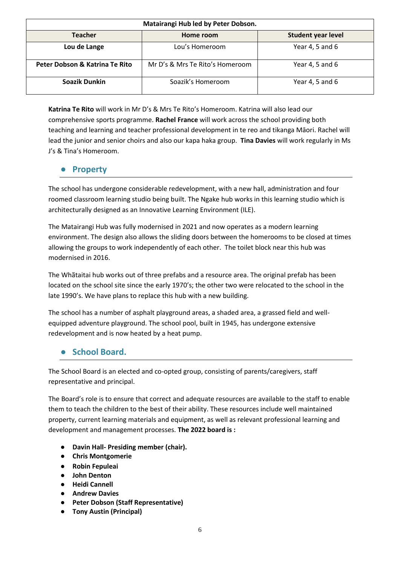| Matairangi Hub led by Peter Dobson. |                                 |                           |  |  |
|-------------------------------------|---------------------------------|---------------------------|--|--|
| <b>Teacher</b>                      | Home room                       | <b>Student year level</b> |  |  |
| Lou de Lange                        | Lou's Homeroom                  | Year 4, 5 and 6           |  |  |
| Peter Dobson & Katrina Te Rito      | Mr D's & Mrs Te Rito's Homeroom | Year 4, 5 and 6           |  |  |
| Soazik Dunkin                       | Soazik's Homeroom               | Year 4, 5 and 6           |  |  |

**Katrina Te Rito** will work in Mr D's & Mrs Te Rito's Homeroom. Katrina will also lead our comprehensive sports programme. **Rachel France** will work across the school providing both teaching and learning and teacher professional development in te reo and tikanga Māori. Rachel will lead the junior and senior choirs and also our kapa haka group. **Tina Davies** will work regularly in Ms J's & Tina's Homeroom.

# ● **Property**

The school has undergone considerable redevelopment, with a new hall, administration and four roomed classroom learning studio being built. The Ngake hub works in this learning studio which is architecturally designed as an Innovative Learning Environment (ILE).

The Matairangi Hub was fully modernised in 2021 and now operates as a modern learning environment. The design also allows the sliding doors between the homerooms to be closed at times allowing the groups to work independently of each other. The toilet block near this hub was modernised in 2016.

The Whãtaitai hub works out of three prefabs and a resource area. The original prefab has been located on the school site since the early 1970's; the other two were relocated to the school in the late 1990's. We have plans to replace this hub with a new building.

The school has a number of asphalt playground areas, a shaded area, a grassed field and wellequipped adventure playground. The school pool, built in 1945, has undergone extensive redevelopment and is now heated by a heat pump.

# ● **School Board.**

The School Board is an elected and co-opted group, consisting of parents/caregivers, staff representative and principal.

The Board's role is to ensure that correct and adequate resources are available to the staff to enable them to teach the children to the best of their ability. These resources include well maintained property, current learning materials and equipment, as well as relevant professional learning and development and management processes. **The 2022 board is :** 

- **Davin Hall- Presiding member (chair).**
- **Chris Montgomerie**
- **Robin Fepuleai**
- **John Denton**
- **Heidi Cannell**
- **Andrew Davies**
- **Peter Dobson (Staff Representative)**
- **Tony Austin (Principal)**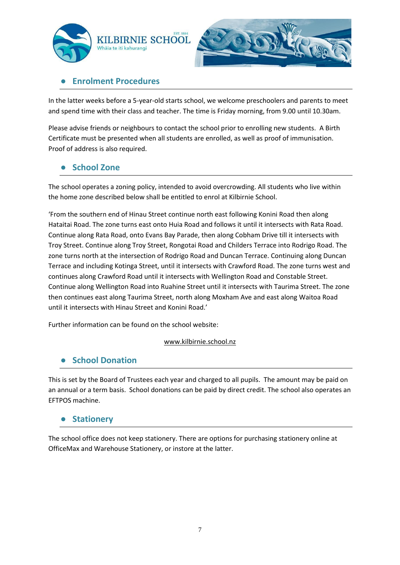



# **Enrolment Procedures**

In the latter weeks before a 5-year-old starts school, we welcome preschoolers and parents to meet and spend time with their class and teacher. The time is Friday morning, from 9.00 until 10.30am.

Please advise friends or neighbours to contact the school prior to enrolling new students. A Birth Certificate must be presented when all students are enrolled, as well as proof of immunisation. Proof of address is also required.

# ● **School Zone**

The school operates a zoning policy, intended to avoid overcrowding. All students who live within the home zone described below shall be entitled to enrol at Kilbirnie School.

'From the southern end of Hinau Street continue north east following Konini Road then along Hataitai Road. The zone turns east onto Huia Road and follows it until it intersects with Rata Road. Continue along Rata Road, onto Evans Bay Parade, then along Cobham Drive till it intersects with Troy Street. Continue along Troy Street, Rongotai Road and Childers Terrace into Rodrigo Road. The zone turns north at the intersection of Rodrigo Road and Duncan Terrace. Continuing along Duncan Terrace and including Kotinga Street, until it intersects with Crawford Road. The zone turns west and continues along Crawford Road until it intersects with Wellington Road and Constable Street. Continue along Wellington Road into Ruahine Street until it intersects with Taurima Street. The zone then continues east along Taurima Street, north along Moxham Ave and east along Waitoa Road until it intersects with Hinau Street and Konini Road.'

Further information can be found on the school website:

#### [www.kilbirnie.school.nz](http://www.kilbirnie.school.nz/)

#### ● **School Donation**

This is set by the Board of Trustees each year and charged to all pupils. The amount may be paid on an annual or a term basis. School donations can be paid by direct credit. The school also operates an EFTPOS machine.

#### ● **Stationery**

The school office does not keep stationery. There are options for purchasing stationery online at OfficeMax and Warehouse Stationery, or instore at the latter.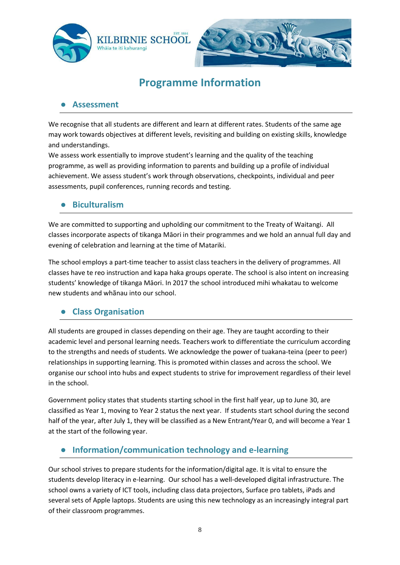

# **Programme Information**

## ● **Assessment**

We recognise that all students are different and learn at different rates. Students of the same age may work towards objectives at different levels, revisiting and building on existing skills, knowledge and understandings.

We assess work essentially to improve student's learning and the quality of the teaching programme, as well as providing information to parents and building up a profile of individual achievement. We assess student's work through observations, checkpoints, individual and peer assessments, pupil conferences, running records and testing.

# ● **Biculturalism**

We are committed to supporting and upholding our commitment to the Treaty of Waitangi. All classes incorporate aspects of tikanga Māori in their programmes and we hold an annual full day and evening of celebration and learning at the time of Matariki.

The school employs a part-time teacher to assist class teachers in the delivery of programmes. All classes have te reo instruction and kapa haka groups operate. The school is also intent on increasing students' knowledge of tikanga Māori. In 2017 the school introduced mihi whakatau to welcome new students and whãnau into our school.

# ● **Class Organisation**

All students are grouped in classes depending on their age. They are taught according to their academic level and personal learning needs. Teachers work to differentiate the curriculum according to the strengths and needs of students. We acknowledge the power of tuakana-teina (peer to peer) relationships in supporting learning. This is promoted within classes and across the school. We organise our school into hubs and expect students to strive for improvement regardless of their level in the school.

Government policy states that students starting school in the first half year, up to June 30, are classified as Year 1, moving to Year 2 status the next year. If students start school during the second half of the year, after July 1, they will be classified as a New Entrant/Year 0, and will become a Year 1 at the start of the following year.

# ● **Information/communication technology and e-learning**

Our school strives to prepare students for the information/digital age. It is vital to ensure the students develop literacy in e-learning. Our school has a well-developed digital infrastructure. The school owns a variety of ICT tools, including class data projectors, Surface pro tablets, iPads and several sets of Apple laptops. Students are using this new technology as an increasingly integral part of their classroom programmes.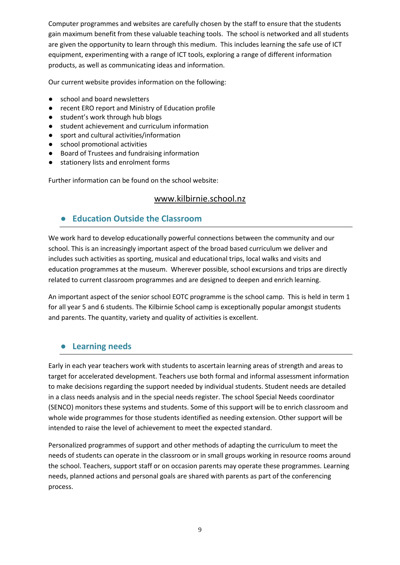Computer programmes and websites are carefully chosen by the staff to ensure that the students gain maximum benefit from these valuable teaching tools. The school is networked and all students are given the opportunity to learn through this medium. This includes learning the safe use of ICT equipment, experimenting with a range of ICT tools, exploring a range of different information products, as well as communicating ideas and information.

Our current website provides information on the following:

- school and board newsletters
- recent ERO report and Ministry of Education profile
- student's work through hub blogs
- student achievement and curriculum information
- sport and cultural activities/information
- school promotional activities
- Board of Trustees and fundraising information
- stationery lists and enrolment forms

Further information can be found on the school website:

#### [www.kilbirnie.school.nz](http://www.kilbirnie.school.nz/)

# ● **Education Outside the Classroom**

We work hard to develop educationally powerful connections between the community and our school. This is an increasingly important aspect of the broad based curriculum we deliver and includes such activities as sporting, musical and educational trips, local walks and visits and education programmes at the museum. Wherever possible, school excursions and trips are directly related to current classroom programmes and are designed to deepen and enrich learning.

An important aspect of the senior school EOTC programme is the school camp. This is held in term 1 for all year 5 and 6 students. The Kilbirnie School camp is exceptionally popular amongst students and parents. The quantity, variety and quality of activities is excellent.

# ● **Learning needs**

Early in each year teachers work with students to ascertain learning areas of strength and areas to target for accelerated development. Teachers use both formal and informal assessment information to make decisions regarding the support needed by individual students. Student needs are detailed in a class needs analysis and in the special needs register. The school Special Needs coordinator (SENCO) monitors these systems and students. Some of this support will be to enrich classroom and whole wide programmes for those students identified as needing extension. Other support will be intended to raise the level of achievement to meet the expected standard.

Personalized programmes of support and other methods of adapting the curriculum to meet the needs of students can operate in the classroom or in small groups working in resource rooms around the school. Teachers, support staff or on occasion parents may operate these programmes. Learning needs, planned actions and personal goals are shared with parents as part of the conferencing process.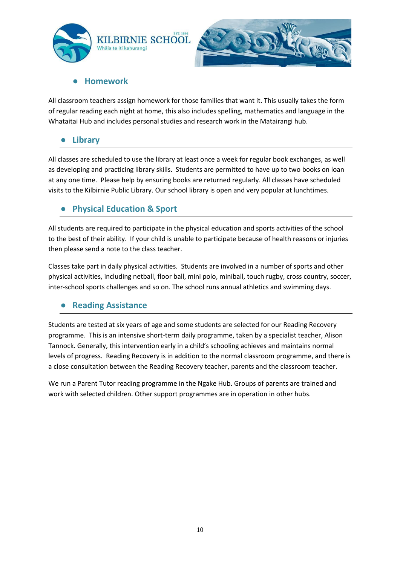



## ● **Homework**

All classroom teachers assign homework for those families that want it. This usually takes the form of regular reading each night at home, this also includes spelling, mathematics and language in the Whataitai Hub and includes personal studies and research work in the Matairangi hub.

# **Library**

All classes are scheduled to use the library at least once a week for regular book exchanges, as well as developing and practicing library skills. Students are permitted to have up to two books on loan at any one time. Please help by ensuring books are returned regularly. All classes have scheduled visits to the Kilbirnie Public Library. Our school library is open and very popular at lunchtimes.

# **Physical Education & Sport**

All students are required to participate in the physical education and sports activities of the school to the best of their ability. If your child is unable to participate because of health reasons or injuries then please send a note to the class teacher.

Classes take part in daily physical activities. Students are involved in a number of sports and other physical activities, including netball, floor ball, mini polo, miniball, touch rugby, cross country, soccer, inter-school sports challenges and so on. The school runs annual athletics and swimming days.

# ● **Reading Assistance**

Students are tested at six years of age and some students are selected for our Reading Recovery programme. This is an intensive short-term daily programme, taken by a specialist teacher, Alison Tannock. Generally, this intervention early in a child's schooling achieves and maintains normal levels of progress. Reading Recovery is in addition to the normal classroom programme, and there is a close consultation between the Reading Recovery teacher, parents and the classroom teacher.

We run a Parent Tutor reading programme in the Ngake Hub. Groups of parents are trained and work with selected children. Other support programmes are in operation in other hubs.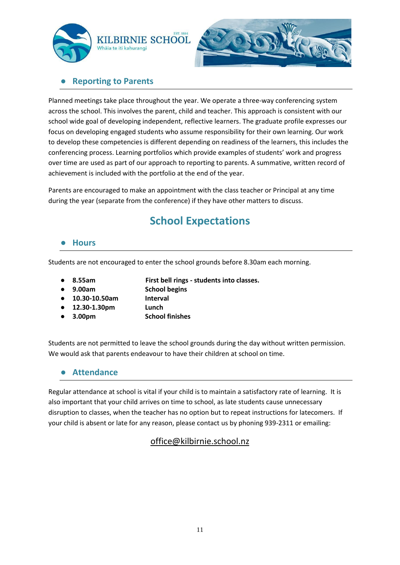



# **Reporting to Parents**

Planned meetings take place throughout the year. We operate a three-way conferencing system across the school. This involves the parent, child and teacher. This approach is consistent with our school wide goal of developing independent, reflective learners. The graduate profile expresses our focus on developing engaged students who assume responsibility for their own learning. Our work to develop these competencies is different depending on readiness of the learners, this includes the conferencing process. Learning portfolios which provide examples of students' work and progress over time are used as part of our approach to reporting to parents. A summative, written record of achievement is included with the portfolio at the end of the year.

Parents are encouraged to make an appointment with the class teacher or Principal at any time during the year (separate from the conference) if they have other matters to discuss.

# **School Expectations**

#### ● **Hours**

Students are not encouraged to enter the school grounds before 8.30am each morning.

● **8.55am First bell rings - students into classes.** 

- **9.00am School begins**
- **10.30-10.50am Interval**
	-
- **12.30-1.30pm Lunch**
- **3.00pm School finishes**

Students are not permitted to leave the school grounds during the day without written permission. We would ask that parents endeavour to have their children at school on time.

#### ● **Attendance**

Regular attendance at school is vital if your child is to maintain a satisfactory rate of learning. It is also important that your child arrives on time to school, as late students cause unnecessary disruption to classes, when the teacher has no option but to repeat instructions for latecomers. If your child is absent or late for any reason, please contact us by phoning 939-2311 or emailing:

# [office@kilbirnie.school.nz](mailto:office@kilbirnie.school.nz)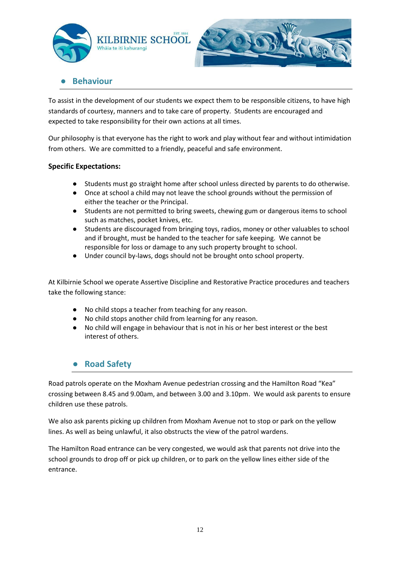



# **Behaviour**

To assist in the development of our students we expect them to be responsible citizens, to have high standards of courtesy, manners and to take care of property. Students are encouraged and expected to take responsibility for their own actions at all times.

Our philosophy is that everyone has the right to work and play without fear and without intimidation from others. We are committed to a friendly, peaceful and safe environment.

#### **Specific Expectations:**

- Students must go straight home after school unless directed by parents to do otherwise.
- Once at school a child may not leave the school grounds without the permission of either the teacher or the Principal.
- Students are not permitted to bring sweets, chewing gum or dangerous items to school such as matches, pocket knives, etc.
- Students are discouraged from bringing toys, radios, money or other valuables to school and if brought, must be handed to the teacher for safe keeping. We cannot be responsible for loss or damage to any such property brought to school.
- Under council by-laws, dogs should not be brought onto school property.

At Kilbirnie School we operate Assertive Discipline and Restorative Practice procedures and teachers take the following stance:

- No child stops a teacher from teaching for any reason.
- No child stops another child from learning for any reason.
- No child will engage in behaviour that is not in his or her best interest or the best interest of others.

# ● **Road Safety**

Road patrols operate on the Moxham Avenue pedestrian crossing and the Hamilton Road "Kea" crossing between 8.45 and 9.00am, and between 3.00 and 3.10pm. We would ask parents to ensure children use these patrols.

We also ask parents picking up children from Moxham Avenue not to stop or park on the yellow lines. As well as being unlawful, it also obstructs the view of the patrol wardens.

The Hamilton Road entrance can be very congested, we would ask that parents not drive into the school grounds to drop off or pick up children, or to park on the yellow lines either side of the entrance.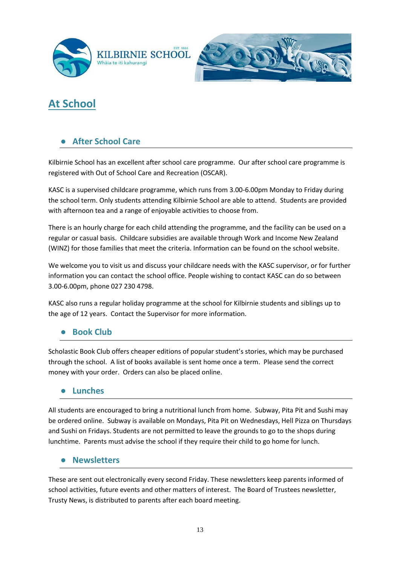



# **At School**

# **After School Care**

Kilbirnie School has an excellent after school care programme. Our after school care programme is registered with Out of School Care and Recreation (OSCAR).

KASC is a supervised childcare programme, which runs from 3.00-6.00pm Monday to Friday during the school term. Only students attending Kilbirnie School are able to attend. Students are provided with afternoon tea and a range of enjoyable activities to choose from.

There is an hourly charge for each child attending the programme, and the facility can be used on a regular or casual basis. Childcare subsidies are available through Work and Income New Zealand (WINZ) for those families that meet the criteria. Information can be found on the school website.

We welcome you to visit us and discuss your childcare needs with the KASC supervisor, or for further information you can contact the school office. People wishing to contact KASC can do so between 3.00-6.00pm, phone 027 230 4798.

KASC also runs a regular holiday programme at the school for Kilbirnie students and siblings up to the age of 12 years. Contact the Supervisor for more information.

#### **Book Club**

Scholastic Book Club offers cheaper editions of popular student's stories, which may be purchased through the school. A list of books available is sent home once a term. Please send the correct money with your order. Orders can also be placed online.

#### ● **Lunches**

All students are encouraged to bring a nutritional lunch from home. Subway, Pita Pit and Sushi may be ordered online. Subway is available on Mondays, Pita Pit on Wednesdays, Hell Pizza on Thursdays and Sushi on Fridays. Students are not permitted to leave the grounds to go to the shops during lunchtime. Parents must advise the school if they require their child to go home for lunch.

#### ● **Newsletters**

These are sent out electronically every second Friday. These newsletters keep parents informed of school activities, future events and other matters of interest. The Board of Trustees newsletter, Trusty News, is distributed to parents after each board meeting.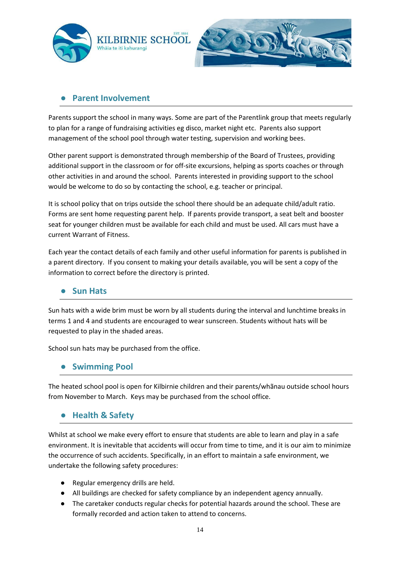



#### **Parent Involvement**

Parents support the school in many ways. Some are part of the Parentlink group that meets regularly to plan for a range of fundraising activities eg disco, market night etc. Parents also support management of the school pool through water testing, supervision and working bees.

Other parent support is demonstrated through membership of the Board of Trustees, providing additional support in the classroom or for off-site excursions, helping as sports coaches or through other activities in and around the school. Parents interested in providing support to the school would be welcome to do so by contacting the school, e.g. teacher or principal.

It is school policy that on trips outside the school there should be an adequate child/adult ratio. Forms are sent home requesting parent help. If parents provide transport, a seat belt and booster seat for younger children must be available for each child and must be used. All cars must have a current Warrant of Fitness.

Each year the contact details of each family and other useful information for parents is published in a parent directory. If you consent to making your details available, you will be sent a copy of the information to correct before the directory is printed.

#### ● **Sun Hats**

Sun hats with a wide brim must be worn by all students during the interval and lunchtime breaks in terms 1 and 4 and students are encouraged to wear sunscreen. Students without hats will be requested to play in the shaded areas.

School sun hats may be purchased from the office.

#### ● **Swimming Pool**

The heated school pool is open for Kilbirnie children and their parents/whãnau outside school hours from November to March. Keys may be purchased from the school office.

#### ● **Health & Safety**

Whilst at school we make every effort to ensure that students are able to learn and play in a safe environment. It is inevitable that accidents will occur from time to time, and it is our aim to minimize the occurrence of such accidents. Specifically, in an effort to maintain a safe environment, we undertake the following safety procedures:

- Regular emergency drills are held.
- All buildings are checked for safety compliance by an independent agency annually.
- The caretaker conducts regular checks for potential hazards around the school. These are formally recorded and action taken to attend to concerns.